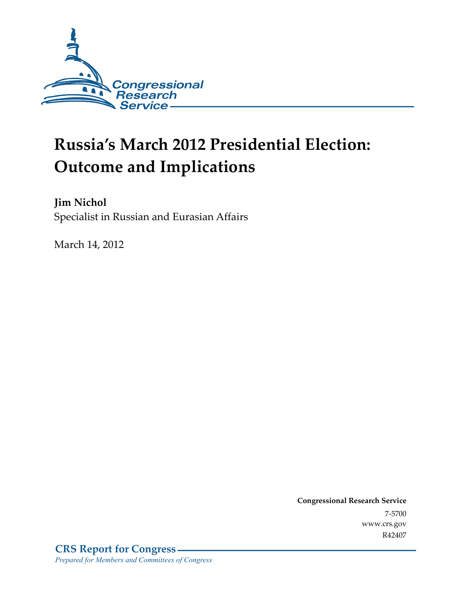

# **Russia's March 2012 Presidential Election: Outcome and Implications**

**Jim Nichol**  Specialist in Russian and Eurasian Affairs

March 14, 2012

**Congressional Research Service**  7-5700 www.crs.gov R42407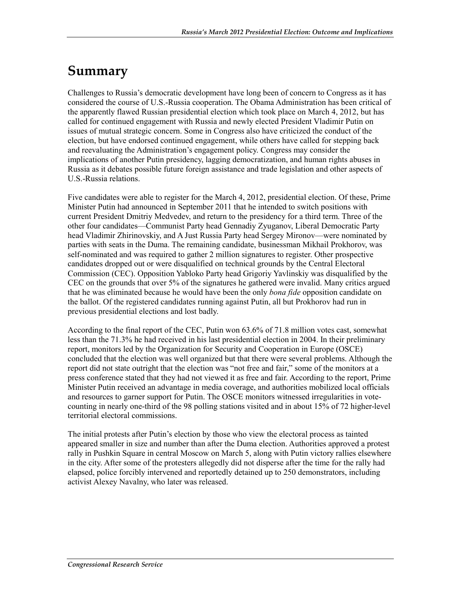## **Summary**

Challenges to Russia's democratic development have long been of concern to Congress as it has considered the course of U.S.-Russia cooperation. The Obama Administration has been critical of the apparently flawed Russian presidential election which took place on March 4, 2012, but has called for continued engagement with Russia and newly elected President Vladimir Putin on issues of mutual strategic concern. Some in Congress also have criticized the conduct of the election, but have endorsed continued engagement, while others have called for stepping back and reevaluating the Administration's engagement policy. Congress may consider the implications of another Putin presidency, lagging democratization, and human rights abuses in Russia as it debates possible future foreign assistance and trade legislation and other aspects of U.S.-Russia relations.

Five candidates were able to register for the March 4, 2012, presidential election. Of these, Prime Minister Putin had announced in September 2011 that he intended to switch positions with current President Dmitriy Medvedev, and return to the presidency for a third term. Three of the other four candidates—Communist Party head Gennadiy Zyuganov, Liberal Democratic Party head Vladimir Zhirinovskiy, and A Just Russia Party head Sergey Mironov—were nominated by parties with seats in the Duma. The remaining candidate, businessman Mikhail Prokhorov, was self-nominated and was required to gather 2 million signatures to register. Other prospective candidates dropped out or were disqualified on technical grounds by the Central Electoral Commission (CEC). Opposition Yabloko Party head Grigoriy Yavlinskiy was disqualified by the CEC on the grounds that over 5% of the signatures he gathered were invalid. Many critics argued that he was eliminated because he would have been the only *bona fide* opposition candidate on the ballot. Of the registered candidates running against Putin, all but Prokhorov had run in previous presidential elections and lost badly.

According to the final report of the CEC, Putin won 63.6% of 71.8 million votes cast, somewhat less than the 71.3% he had received in his last presidential election in 2004. In their preliminary report, monitors led by the Organization for Security and Cooperation in Europe (OSCE) concluded that the election was well organized but that there were several problems. Although the report did not state outright that the election was "not free and fair," some of the monitors at a press conference stated that they had not viewed it as free and fair. According to the report, Prime Minister Putin received an advantage in media coverage, and authorities mobilized local officials and resources to garner support for Putin. The OSCE monitors witnessed irregularities in votecounting in nearly one-third of the 98 polling stations visited and in about 15% of 72 higher-level territorial electoral commissions.

The initial protests after Putin's election by those who view the electoral process as tainted appeared smaller in size and number than after the Duma election. Authorities approved a protest rally in Pushkin Square in central Moscow on March 5, along with Putin victory rallies elsewhere in the city. After some of the protesters allegedly did not disperse after the time for the rally had elapsed, police forcibly intervened and reportedly detained up to 250 demonstrators, including activist Alexey Navalny, who later was released.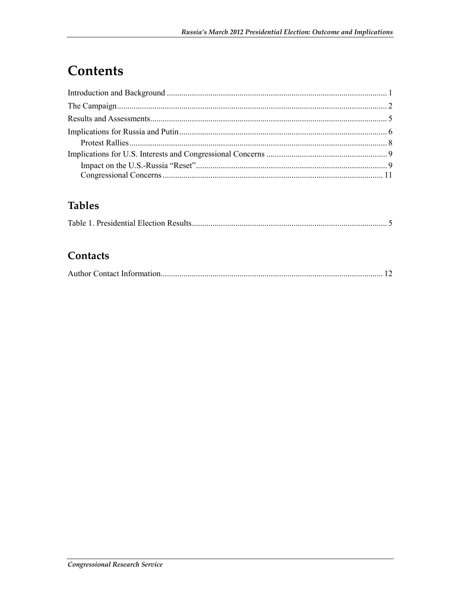## Contents

### **Tables**

|--|

#### Contacts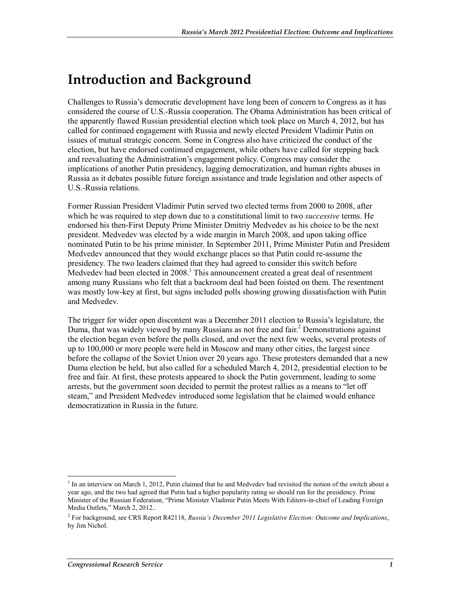## **Introduction and Background**

Challenges to Russia's democratic development have long been of concern to Congress as it has considered the course of U.S.-Russia cooperation. The Obama Administration has been critical of the apparently flawed Russian presidential election which took place on March 4, 2012, but has called for continued engagement with Russia and newly elected President Vladimir Putin on issues of mutual strategic concern. Some in Congress also have criticized the conduct of the election, but have endorsed continued engagement, while others have called for stepping back and reevaluating the Administration's engagement policy. Congress may consider the implications of another Putin presidency, lagging democratization, and human rights abuses in Russia as it debates possible future foreign assistance and trade legislation and other aspects of U.S.-Russia relations.

Former Russian President Vladimir Putin served two elected terms from 2000 to 2008, after which he was required to step down due to a constitutional limit to two *successive* terms. He endorsed his then-First Deputy Prime Minister Dmitriy Medvedev as his choice to be the next president. Medvedev was elected by a wide margin in March 2008, and upon taking office nominated Putin to be his prime minister. In September 2011, Prime Minister Putin and President Medvedev announced that they would exchange places so that Putin could re-assume the presidency. The two leaders claimed that they had agreed to consider this switch before Medvedev had been elected in  $2008$ .<sup>1</sup> This announcement created a great deal of resentment among many Russians who felt that a backroom deal had been foisted on them. The resentment was mostly low-key at first, but signs included polls showing growing dissatisfaction with Putin and Medvedev.

The trigger for wider open discontent was a December 2011 election to Russia's legislature, the Duma, that was widely viewed by many Russians as not free and fair.<sup>2</sup> Demonstrations against the election began even before the polls closed, and over the next few weeks, several protests of up to 100,000 or more people were held in Moscow and many other cities, the largest since before the collapse of the Soviet Union over 20 years ago. These protesters demanded that a new Duma election be held, but also called for a scheduled March 4, 2012, presidential election to be free and fair. At first, these protests appeared to shock the Putin government, leading to some arrests, but the government soon decided to permit the protest rallies as a means to "let off steam," and President Medvedev introduced some legislation that he claimed would enhance democratization in Russia in the future.

<sup>&</sup>lt;sup>1</sup> In an interview on March 1, 2012, Putin claimed that he and Medvedev had revisited the notion of the switch about a year ago, and the two had agreed that Putin had a higher popularity rating so should run for the presidency. Prime Minister of the Russian Federation, "Prime Minister Vladimir Putin Meets With Editors-in-chief of Leading Foreign Media Outlets," March 2, 2012..

<sup>2</sup> For background, see CRS Report R42118, *Russia's December 2011 Legislative Election: Outcome and Implications*, by Jim Nichol.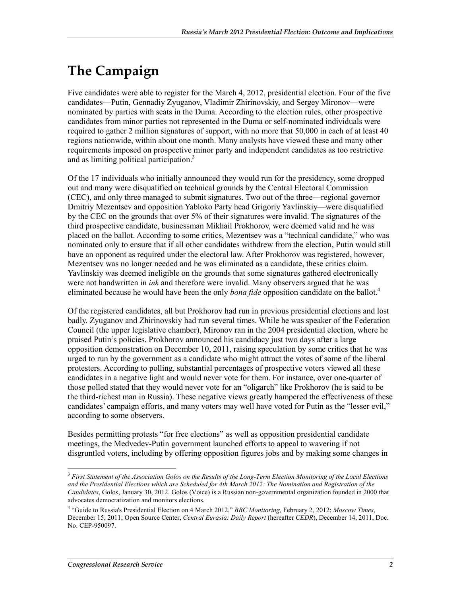## **The Campaign**

Five candidates were able to register for the March 4, 2012, presidential election. Four of the five candidates—Putin, Gennadiy Zyuganov, Vladimir Zhirinovskiy, and Sergey Mironov—were nominated by parties with seats in the Duma. According to the election rules, other prospective candidates from minor parties not represented in the Duma or self-nominated individuals were required to gather 2 million signatures of support, with no more that 50,000 in each of at least 40 regions nationwide, within about one month. Many analysts have viewed these and many other requirements imposed on prospective minor party and independent candidates as too restrictive and as limiting political participation.<sup>3</sup>

Of the 17 individuals who initially announced they would run for the presidency, some dropped out and many were disqualified on technical grounds by the Central Electoral Commission (CEC), and only three managed to submit signatures. Two out of the three—regional governor Dmitriy Mezentsev and opposition Yabloko Party head Grigoriy Yavlinskiy—were disqualified by the CEC on the grounds that over 5% of their signatures were invalid. The signatures of the third prospective candidate, businessman Mikhail Prokhorov, were deemed valid and he was placed on the ballot. According to some critics, Mezentsev was a "technical candidate," who was nominated only to ensure that if all other candidates withdrew from the election, Putin would still have an opponent as required under the electoral law. After Prokhorov was registered, however, Mezentsev was no longer needed and he was eliminated as a candidate, these critics claim. Yavlinskiy was deemed ineligible on the grounds that some signatures gathered electronically were not handwritten in *ink* and therefore were invalid. Many observers argued that he was eliminated because he would have been the only *bona fide* opposition candidate on the ballot.<sup>4</sup>

Of the registered candidates, all but Prokhorov had run in previous presidential elections and lost badly. Zyuganov and Zhirinovskiy had run several times. While he was speaker of the Federation Council (the upper legislative chamber), Mironov ran in the 2004 presidential election, where he praised Putin's policies. Prokhorov announced his candidacy just two days after a large opposition demonstration on December 10, 2011, raising speculation by some critics that he was urged to run by the government as a candidate who might attract the votes of some of the liberal protesters. According to polling, substantial percentages of prospective voters viewed all these candidates in a negative light and would never vote for them. For instance, over one-quarter of those polled stated that they would never vote for an "oligarch" like Prokhorov (he is said to be the third-richest man in Russia). These negative views greatly hampered the effectiveness of these candidates' campaign efforts, and many voters may well have voted for Putin as the "lesser evil," according to some observers.

Besides permitting protests "for free elections" as well as opposition presidential candidate meetings, the Medvedev-Putin government launched efforts to appeal to wavering if not disgruntled voters, including by offering opposition figures jobs and by making some changes in

<sup>3</sup> *First Statement of the Association Golos on the Results of the Long-Term Election Monitoring of the Local Elections and the Presidential Elections which are Scheduled for 4th March 2012: The Nomination and Registration of the Candidates*, Golos, January 30, 2012. Golos (Voice) is a Russian non-governmental organization founded in 2000 that advocates democratization and monitors elections.

<sup>&</sup>lt;sup>4</sup> "Guide to Russia's Presidential Election on 4 March 2012," BBC Monitoring, February 2, 2012; Moscow Times, December 15, 2011; Open Source Center, *Central Eurasia: Daily Report* (hereafter *CEDR*), December 14, 2011, Doc. No. CEP-950097.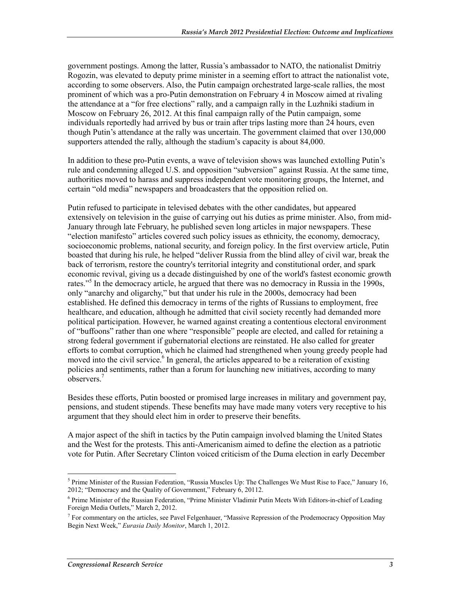government postings. Among the latter, Russia's ambassador to NATO, the nationalist Dmitriy Rogozin, was elevated to deputy prime minister in a seeming effort to attract the nationalist vote, according to some observers. Also, the Putin campaign orchestrated large-scale rallies, the most prominent of which was a pro-Putin demonstration on February 4 in Moscow aimed at rivaling the attendance at a "for free elections" rally, and a campaign rally in the Luzhniki stadium in Moscow on February 26, 2012. At this final campaign rally of the Putin campaign, some individuals reportedly had arrived by bus or train after trips lasting more than 24 hours, even though Putin's attendance at the rally was uncertain. The government claimed that over 130,000 supporters attended the rally, although the stadium's capacity is about 84,000.

In addition to these pro-Putin events, a wave of television shows was launched extolling Putin's rule and condemning alleged U.S. and opposition "subversion" against Russia. At the same time, authorities moved to harass and suppress independent vote monitoring groups, the Internet, and certain "old media" newspapers and broadcasters that the opposition relied on.

Putin refused to participate in televised debates with the other candidates, but appeared extensively on television in the guise of carrying out his duties as prime minister. Also, from mid-January through late February, he published seven long articles in major newspapers. These "election manifesto" articles covered such policy issues as ethnicity, the economy, democracy, socioeconomic problems, national security, and foreign policy. In the first overview article, Putin boasted that during his rule, he helped "deliver Russia from the blind alley of civil war, break the back of terrorism, restore the country's territorial integrity and constitutional order, and spark economic revival, giving us a decade distinguished by one of the world's fastest economic growth rates."<sup>5</sup> In the democracy article, he argued that there was no democracy in Russia in the 1990s, only "anarchy and oligarchy," but that under his rule in the 2000s, democracy had been established. He defined this democracy in terms of the rights of Russians to employment, free healthcare, and education, although he admitted that civil society recently had demanded more political participation. However, he warned against creating a contentious electoral environment of "buffoons" rather than one where "responsible" people are elected, and called for retaining a strong federal government if gubernatorial elections are reinstated. He also called for greater efforts to combat corruption, which he claimed had strengthened when young greedy people had moved into the civil service.<sup>6</sup> In general, the articles appeared to be a reiteration of existing policies and sentiments, rather than a forum for launching new initiatives, according to many observers<sup>7</sup>

Besides these efforts, Putin boosted or promised large increases in military and government pay, pensions, and student stipends. These benefits may have made many voters very receptive to his argument that they should elect him in order to preserve their benefits.

A major aspect of the shift in tactics by the Putin campaign involved blaming the United States and the West for the protests. This anti-Americanism aimed to define the election as a patriotic vote for Putin. After Secretary Clinton voiced criticism of the Duma election in early December

<sup>1</sup> <sup>5</sup> Prime Minister of the Russian Federation, "Russia Muscles Up: The Challenges We Must Rise to Face," January 16, 2012; "Democracy and the Quality of Government," February  $\vec{6}$ , 20112.

<sup>&</sup>lt;sup>6</sup> Prime Minister of the Russian Federation, "Prime Minister Vladimir Putin Meets With Editors-in-chief of Leading Foreign Media Outlets," March 2, 2012.

<sup>&</sup>lt;sup>7</sup> For commentary on the articles, see Pavel Felgenhauer, "Massive Repression of the Prodemocracy Opposition May Begin Next Week," *Eurasia Daily Monitor*, March 1, 2012.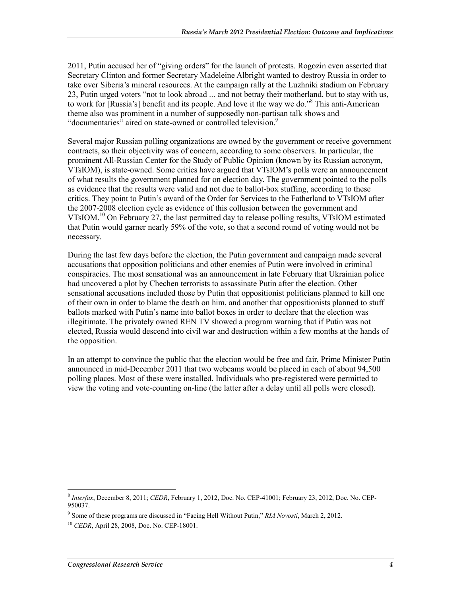2011, Putin accused her of "giving orders" for the launch of protests. Rogozin even asserted that Secretary Clinton and former Secretary Madeleine Albright wanted to destroy Russia in order to take over Siberia's mineral resources. At the campaign rally at the Luzhniki stadium on February 23, Putin urged voters "not to look abroad ... and not betray their motherland, but to stay with us, to work for [Russia's] benefit and its people. And love it the way we do."<sup>8</sup> This anti-American theme also was prominent in a number of supposedly non-partisan talk shows and "documentaries" aired on state-owned or controlled television.<sup>9</sup>

Several major Russian polling organizations are owned by the government or receive government contracts, so their objectivity was of concern, according to some observers. In particular, the prominent All-Russian Center for the Study of Public Opinion (known by its Russian acronym, VTsIOM), is state-owned. Some critics have argued that VTsIOM's polls were an announcement of what results the government planned for on election day. The government pointed to the polls as evidence that the results were valid and not due to ballot-box stuffing, according to these critics. They point to Putin's award of the Order for Services to the Fatherland to VTsIOM after the 2007-2008 election cycle as evidence of this collusion between the government and VTsIOM.<sup>10</sup> On February 27, the last permitted day to release polling results, VTsIOM estimated that Putin would garner nearly 59% of the vote, so that a second round of voting would not be necessary.

During the last few days before the election, the Putin government and campaign made several accusations that opposition politicians and other enemies of Putin were involved in criminal conspiracies. The most sensational was an announcement in late February that Ukrainian police had uncovered a plot by Chechen terrorists to assassinate Putin after the election. Other sensational accusations included those by Putin that oppositionist politicians planned to kill one of their own in order to blame the death on him, and another that oppositionists planned to stuff ballots marked with Putin's name into ballot boxes in order to declare that the election was illegitimate. The privately owned REN TV showed a program warning that if Putin was not elected, Russia would descend into civil war and destruction within a few months at the hands of the opposition.

In an attempt to convince the public that the election would be free and fair, Prime Minister Putin announced in mid-December 2011 that two webcams would be placed in each of about 94,500 polling places. Most of these were installed. Individuals who pre-registered were permitted to view the voting and vote-counting on-line (the latter after a delay until all polls were closed).

<sup>1</sup> <sup>8</sup> *Interfax*, December 8, 2011; *CEDR*, February 1, 2012, Doc. No. CEP-41001; February 23, 2012, Doc. No. CEP-950037.

<sup>9</sup> Some of these programs are discussed in "Facing Hell Without Putin," *RIA Novosti*, March 2, 2012.

<sup>10</sup> *CEDR*, April 28, 2008, Doc. No. CEP-18001.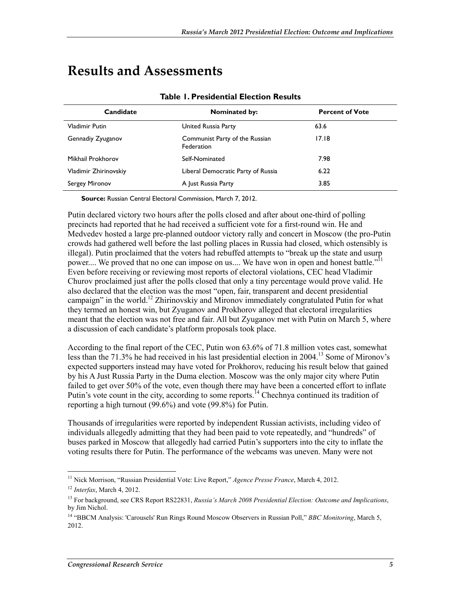| Candidate             | <b>Nominated by:</b>                         | <b>Percent of Vote</b> |
|-----------------------|----------------------------------------------|------------------------|
| Vladimir Putin        | United Russia Party                          | 63.6                   |
| Gennadiy Zyuganov     | Communist Party of the Russian<br>Federation | 17.18                  |
| Mikhail Prokhorov     | Self-Nominated                               | 7.98                   |
| Vladimir Zhirinovskiy | Liberal Democratic Party of Russia           | 6.22                   |
| Sergey Mironov        | A Just Russia Party                          | 3.85                   |

**Table 1. Presidential Election Results** 

### **Results and Assessments**

**Source:** Russian Central Electoral Commission, March 7, 2012.

Putin declared victory two hours after the polls closed and after about one-third of polling precincts had reported that he had received a sufficient vote for a first-round win. He and Medvedev hosted a large pre-planned outdoor victory rally and concert in Moscow (the pro-Putin crowds had gathered well before the last polling places in Russia had closed, which ostensibly is illegal). Putin proclaimed that the voters had rebuffed attempts to "break up the state and usurp power.... We proved that no one can impose on us.... We have won in open and honest battle."<sup>11</sup> Even before receiving or reviewing most reports of electoral violations, CEC head Vladimir Churov proclaimed just after the polls closed that only a tiny percentage would prove valid. He also declared that the election was the most "open, fair, transparent and decent presidential campaign" in the world.<sup>12</sup> Zhirinovskiy and Mironov immediately congratulated Putin for what they termed an honest win, but Zyuganov and Prokhorov alleged that electoral irregularities meant that the election was not free and fair. All but Zyuganov met with Putin on March 5, where a discussion of each candidate's platform proposals took place.

According to the final report of the CEC, Putin won 63.6% of 71.8 million votes cast, somewhat less than the 71.3% he had received in his last presidential election in 2004.<sup>13</sup> Some of Mironov's expected supporters instead may have voted for Prokhorov, reducing his result below that gained by his A Just Russia Party in the Duma election. Moscow was the only major city where Putin failed to get over 50% of the vote, even though there may have been a concerted effort to inflate Putin's vote count in the city, according to some reports.<sup>14</sup> Chechnya continued its tradition of reporting a high turnout (99.6%) and vote (99.8%) for Putin.

Thousands of irregularities were reported by independent Russian activists, including video of individuals allegedly admitting that they had been paid to vote repeatedly, and "hundreds" of buses parked in Moscow that allegedly had carried Putin's supporters into the city to inflate the voting results there for Putin. The performance of the webcams was uneven. Many were not

<sup>11</sup> Nick Morrison, "Russian Presidential Vote: Live Report," *Agence Presse France*, March 4, 2012.

<sup>12</sup> *Interfax*, March 4, 2012.

<sup>13</sup> For background, see CRS Report RS22831, *Russia's March 2008 Presidential Election: Outcome and Implications*, by Jim Nichol.

<sup>14 &</sup>quot;BBCM Analysis: 'Carousels' Run Rings Round Moscow Observers in Russian Poll," *BBC Monitoring*, March 5, 2012.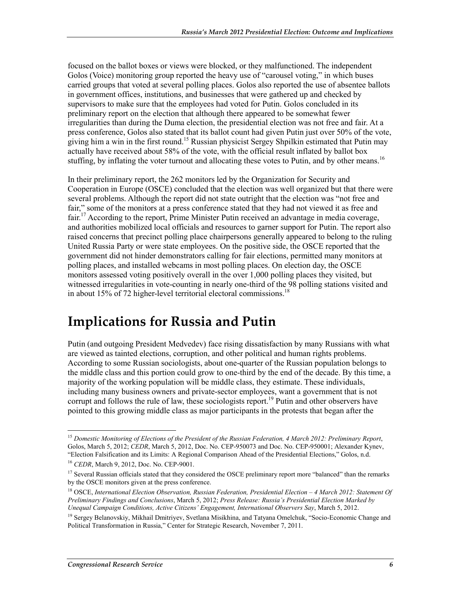focused on the ballot boxes or views were blocked, or they malfunctioned. The independent Golos (Voice) monitoring group reported the heavy use of "carousel voting," in which buses carried groups that voted at several polling places. Golos also reported the use of absentee ballots in government offices, institutions, and businesses that were gathered up and checked by supervisors to make sure that the employees had voted for Putin. Golos concluded in its preliminary report on the election that although there appeared to be somewhat fewer irregularities than during the Duma election, the presidential election was not free and fair. At a press conference, Golos also stated that its ballot count had given Putin just over 50% of the vote, giving him a win in the first round.<sup>15</sup> Russian physicist Sergey Shpilkin estimated that Putin may actually have received about 58% of the vote, with the official result inflated by ballot box stuffing, by inflating the voter turnout and allocating these votes to Putin, and by other means.<sup>16</sup>

In their preliminary report, the 262 monitors led by the Organization for Security and Cooperation in Europe (OSCE) concluded that the election was well organized but that there were several problems. Although the report did not state outright that the election was "not free and fair," some of the monitors at a press conference stated that they had not viewed it as free and fair.<sup>17</sup> According to the report, Prime Minister Putin received an advantage in media coverage, and authorities mobilized local officials and resources to garner support for Putin. The report also raised concerns that precinct polling place chairpersons generally appeared to belong to the ruling United Russia Party or were state employees. On the positive side, the OSCE reported that the government did not hinder demonstrators calling for fair elections, permitted many monitors at polling places, and installed webcams in most polling places. On election day, the OSCE monitors assessed voting positively overall in the over 1,000 polling places they visited, but witnessed irregularities in vote-counting in nearly one-third of the 98 polling stations visited and in about 15% of 72 higher-level territorial electoral commissions.<sup>18</sup>

### **Implications for Russia and Putin**

Putin (and outgoing President Medvedev) face rising dissatisfaction by many Russians with what are viewed as tainted elections, corruption, and other political and human rights problems. According to some Russian sociologists, about one-quarter of the Russian population belongs to the middle class and this portion could grow to one-third by the end of the decade. By this time, a majority of the working population will be middle class, they estimate. These individuals, including many business owners and private-sector employees, want a government that is not corrupt and follows the rule of law, these sociologists report.<sup>19</sup> Putin and other observers have pointed to this growing middle class as major participants in the protests that began after the

<sup>&</sup>lt;u>.</u> <sup>15</sup> *Domestic Monitoring of Elections of the President of the Russian Federation, 4 March 2012: Preliminary Report*, Golos, March 5, 2012; *CEDR*, March 5, 2012, Doc. No. CEP-950073 and Doc. No. CEP-950001; Alexander Kynev, "Election Falsification and its Limits: A Regional Comparison Ahead of the Presidential Elections," Golos, n.d.

<sup>16</sup> *CEDR*, March 9, 2012, Doc. No. CEP-9001.

 $17$  Several Russian officials stated that they considered the OSCE preliminary report more "balanced" than the remarks by the OSCE monitors given at the press conference.

<sup>18</sup> OSCE, *International Election Observation, Russian Federation, Presidential Election – 4 March 2012: Statement Of Preliminary Findings and Conclusions*, March 5, 2012; *Press Release: Russia's Presidential Election Marked by Unequal Campaign Conditions, Active Citizens' Engagement, International Observers Say*, March 5, 2012.

<sup>&</sup>lt;sup>19</sup> Sergey Belanovskiy, Mikhail Dmitriyev, Svetlana Misikhina, and Tatyana Omelchuk, "Socio-Economic Change and Political Transformation in Russia," Center for Strategic Research, November 7, 2011.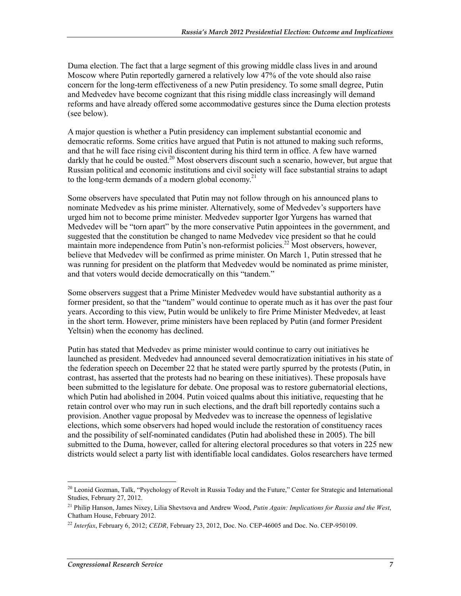Duma election. The fact that a large segment of this growing middle class lives in and around Moscow where Putin reportedly garnered a relatively low 47% of the vote should also raise concern for the long-term effectiveness of a new Putin presidency. To some small degree, Putin and Medvedev have become cognizant that this rising middle class increasingly will demand reforms and have already offered some accommodative gestures since the Duma election protests (see below).

A major question is whether a Putin presidency can implement substantial economic and democratic reforms. Some critics have argued that Putin is not attuned to making such reforms, and that he will face rising civil discontent during his third term in office. A few have warned darkly that he could be ousted.<sup>20</sup> Most observers discount such a scenario, however, but argue that Russian political and economic institutions and civil society will face substantial strains to adapt to the long-term demands of a modern global economy.<sup>21</sup>

Some observers have speculated that Putin may not follow through on his announced plans to nominate Medvedev as his prime minister. Alternatively, some of Medvedev's supporters have urged him not to become prime minister. Medvedev supporter Igor Yurgens has warned that Medvedev will be "torn apart" by the more conservative Putin appointees in the government, and suggested that the constitution be changed to name Medvedev vice president so that he could maintain more independence from Putin's non-reformist policies.<sup>22</sup> Most observers, however, believe that Medvedev will be confirmed as prime minister. On March 1, Putin stressed that he was running for president on the platform that Medvedev would be nominated as prime minister, and that voters would decide democratically on this "tandem."

Some observers suggest that a Prime Minister Medvedev would have substantial authority as a former president, so that the "tandem" would continue to operate much as it has over the past four years. According to this view, Putin would be unlikely to fire Prime Minister Medvedev, at least in the short term. However, prime ministers have been replaced by Putin (and former President Yeltsin) when the economy has declined.

Putin has stated that Medvedev as prime minister would continue to carry out initiatives he launched as president. Medvedev had announced several democratization initiatives in his state of the federation speech on December 22 that he stated were partly spurred by the protests (Putin, in contrast, has asserted that the protests had no bearing on these initiatives). These proposals have been submitted to the legislature for debate. One proposal was to restore gubernatorial elections, which Putin had abolished in 2004. Putin voiced qualms about this initiative, requesting that he retain control over who may run in such elections, and the draft bill reportedly contains such a provision. Another vague proposal by Medvedev was to increase the openness of legislative elections, which some observers had hoped would include the restoration of constituency races and the possibility of self-nominated candidates (Putin had abolished these in 2005). The bill submitted to the Duma, however, called for altering electoral procedures so that voters in 225 new districts would select a party list with identifiable local candidates. Golos researchers have termed

<sup>1</sup> <sup>20</sup> Leonid Gozman, Talk, "Psychology of Revolt in Russia Today and the Future," Center for Strategic and International Studies, February 27, 2012.

<sup>21</sup> Philip Hanson, James Nixey, Lilia Shevtsova and Andrew Wood, *Putin Again: Implications for Russia and the West*, Chatham House, February 2012.

<sup>22</sup> *Interfax*, February 6, 2012; *CEDR*, February 23, 2012, Doc. No. CEP-46005 and Doc. No. CEP-950109.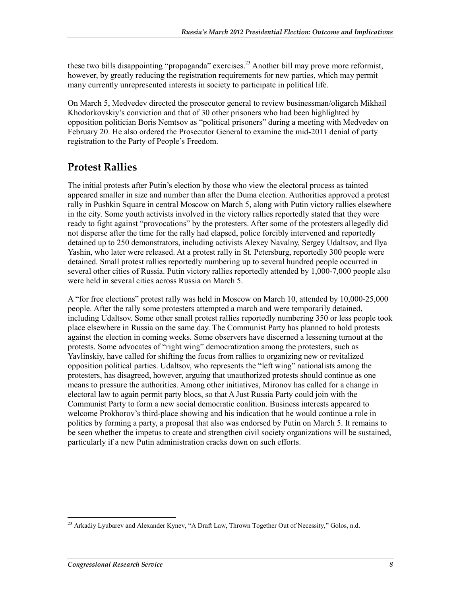these two bills disappointing "propaganda" exercises.<sup>23</sup> Another bill may prove more reformist, however, by greatly reducing the registration requirements for new parties, which may permit many currently unrepresented interests in society to participate in political life.

On March 5, Medvedev directed the prosecutor general to review businessman/oligarch Mikhail Khodorkovskiy's conviction and that of 30 other prisoners who had been highlighted by opposition politician Boris Nemtsov as "political prisoners" during a meeting with Medvedev on February 20. He also ordered the Prosecutor General to examine the mid-2011 denial of party registration to the Party of People's Freedom.

#### **Protest Rallies**

The initial protests after Putin's election by those who view the electoral process as tainted appeared smaller in size and number than after the Duma election. Authorities approved a protest rally in Pushkin Square in central Moscow on March 5, along with Putin victory rallies elsewhere in the city. Some youth activists involved in the victory rallies reportedly stated that they were ready to fight against "provocations" by the protesters. After some of the protesters allegedly did not disperse after the time for the rally had elapsed, police forcibly intervened and reportedly detained up to 250 demonstrators, including activists Alexey Navalny, Sergey Udaltsov, and Ilya Yashin, who later were released. At a protest rally in St. Petersburg, reportedly 300 people were detained. Small protest rallies reportedly numbering up to several hundred people occurred in several other cities of Russia. Putin victory rallies reportedly attended by 1,000-7,000 people also were held in several cities across Russia on March 5.

A "for free elections" protest rally was held in Moscow on March 10, attended by 10,000-25,000 people. After the rally some protesters attempted a march and were temporarily detained, including Udaltsov. Some other small protest rallies reportedly numbering 350 or less people took place elsewhere in Russia on the same day. The Communist Party has planned to hold protests against the election in coming weeks. Some observers have discerned a lessening turnout at the protests. Some advocates of "right wing" democratization among the protesters, such as Yavlinskiy, have called for shifting the focus from rallies to organizing new or revitalized opposition political parties. Udaltsov, who represents the "left wing" nationalists among the protesters, has disagreed, however, arguing that unauthorized protests should continue as one means to pressure the authorities. Among other initiatives, Mironov has called for a change in electoral law to again permit party blocs, so that A Just Russia Party could join with the Communist Party to form a new social democratic coalition. Business interests appeared to welcome Prokhorov's third-place showing and his indication that he would continue a role in politics by forming a party, a proposal that also was endorsed by Putin on March 5. It remains to be seen whether the impetus to create and strengthen civil society organizations will be sustained, particularly if a new Putin administration cracks down on such efforts.

<sup>&</sup>lt;u>.</u> <sup>23</sup> Arkadiy Lyubarev and Alexander Kynev, "A Draft Law, Thrown Together Out of Necessity," Golos, n.d.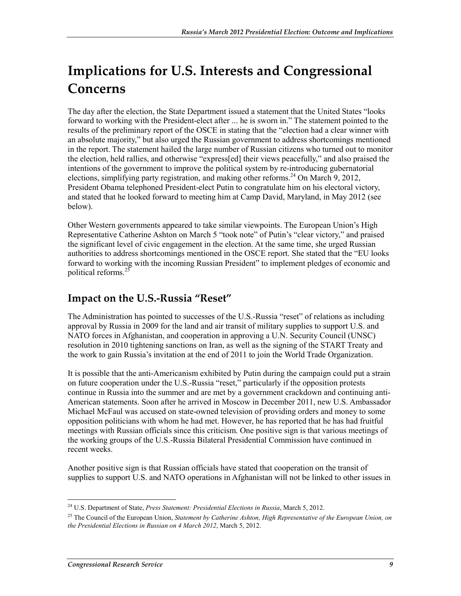## **Implications for U.S. Interests and Congressional Concerns**

The day after the election, the State Department issued a statement that the United States "looks forward to working with the President-elect after ... he is sworn in." The statement pointed to the results of the preliminary report of the OSCE in stating that the "election had a clear winner with an absolute majority," but also urged the Russian government to address shortcomings mentioned in the report. The statement hailed the large number of Russian citizens who turned out to monitor the election, held rallies, and otherwise "express[ed] their views peacefully," and also praised the intentions of the government to improve the political system by re-introducing gubernatorial elections, simplifying party registration, and making other reforms.<sup>24</sup> On March 9, 2012, President Obama telephoned President-elect Putin to congratulate him on his electoral victory, and stated that he looked forward to meeting him at Camp David, Maryland, in May 2012 (see below).

Other Western governments appeared to take similar viewpoints. The European Union's High Representative Catherine Ashton on March 5 "took note" of Putin's "clear victory," and praised the significant level of civic engagement in the election. At the same time, she urged Russian authorities to address shortcomings mentioned in the OSCE report. She stated that the "EU looks forward to working with the incoming Russian President" to implement pledges of economic and political reforms.<sup>25</sup>

#### **Impact on the U.S.-Russia "Reset"**

The Administration has pointed to successes of the U.S.-Russia "reset" of relations as including approval by Russia in 2009 for the land and air transit of military supplies to support U.S. and NATO forces in Afghanistan, and cooperation in approving a U.N. Security Council (UNSC) resolution in 2010 tightening sanctions on Iran, as well as the signing of the START Treaty and the work to gain Russia's invitation at the end of 2011 to join the World Trade Organization.

It is possible that the anti-Americanism exhibited by Putin during the campaign could put a strain on future cooperation under the U.S.-Russia "reset," particularly if the opposition protests continue in Russia into the summer and are met by a government crackdown and continuing anti-American statements. Soon after he arrived in Moscow in December 2011, new U.S. Ambassador Michael McFaul was accused on state-owned television of providing orders and money to some opposition politicians with whom he had met. However, he has reported that he has had fruitful meetings with Russian officials since this criticism. One positive sign is that various meetings of the working groups of the U.S.-Russia Bilateral Presidential Commission have continued in recent weeks.

Another positive sign is that Russian officials have stated that cooperation on the transit of supplies to support U.S. and NATO operations in Afghanistan will not be linked to other issues in

<sup>24</sup> U.S. Department of State, *Press Statement: Presidential Elections in Russia*, March 5, 2012.

<sup>&</sup>lt;sup>25</sup> The Council of the European Union, *Statement by Catherine Ashton, High Representative of the European Union, on the Presidential Elections in Russian on 4 March 2012*, March 5, 2012.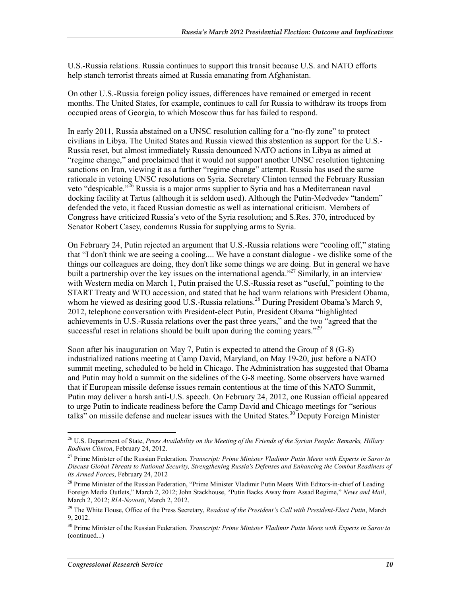U.S.-Russia relations. Russia continues to support this transit because U.S. and NATO efforts help stanch terrorist threats aimed at Russia emanating from Afghanistan.

On other U.S.-Russia foreign policy issues, differences have remained or emerged in recent months. The United States, for example, continues to call for Russia to withdraw its troops from occupied areas of Georgia, to which Moscow thus far has failed to respond.

In early 2011, Russia abstained on a UNSC resolution calling for a "no-fly zone" to protect civilians in Libya. The United States and Russia viewed this abstention as support for the U.S.- Russia reset, but almost immediately Russia denounced NATO actions in Libya as aimed at "regime change," and proclaimed that it would not support another UNSC resolution tightening sanctions on Iran, viewing it as a further "regime change" attempt. Russia has used the same rationale in vetoing UNSC resolutions on Syria. Secretary Clinton termed the February Russian veto "despicable."<sup>26</sup> Russia is a major arms supplier to Syria and has a Mediterranean naval docking facility at Tartus (although it is seldom used). Although the Putin-Medvedev "tandem" defended the veto, it faced Russian domestic as well as international criticism. Members of Congress have criticized Russia's veto of the Syria resolution; and S.Res. 370, introduced by Senator Robert Casey, condemns Russia for supplying arms to Syria.

On February 24, Putin rejected an argument that U.S.-Russia relations were "cooling off," stating that "I don't think we are seeing a cooling.... We have a constant dialogue - we dislike some of the things our colleagues are doing, they don't like some things we are doing. But in general we have built a partnership over the key issues on the international agenda."<sup>27</sup> Similarly, in an interview with Western media on March 1, Putin praised the U.S.-Russia reset as "useful," pointing to the START Treaty and WTO accession, and stated that he had warm relations with President Obama, whom he viewed as desiring good U.S.-Russia relations.<sup>28</sup> During President Obama's March 9, 2012, telephone conversation with President-elect Putin, President Obama "highlighted achievements in U.S.-Russia relations over the past three years," and the two "agreed that the successful reset in relations should be built upon during the coming years.<sup> $29$ </sup>

Soon after his inauguration on May 7, Putin is expected to attend the Group of 8 (G-8) industrialized nations meeting at Camp David, Maryland, on May 19-20, just before a NATO summit meeting, scheduled to be held in Chicago. The Administration has suggested that Obama and Putin may hold a summit on the sidelines of the G-8 meeting. Some observers have warned that if European missile defense issues remain contentious at the time of this NATO Summit, Putin may deliver a harsh anti-U.S. speech. On February 24, 2012, one Russian official appeared to urge Putin to indicate readiness before the Camp David and Chicago meetings for "serious talks" on missile defense and nuclear issues with the United States.<sup>30</sup> Deputy Foreign Minister

<sup>&</sup>lt;u>.</u> 26 U.S. Department of State, *Press Availability on the Meeting of the Friends of the Syrian People: Remarks, Hillary Rodham Clinton*, February 24, 2012.

<sup>27</sup> Prime Minister of the Russian Federation. *Transcript: Prime Minister Vladimir Putin Meets with Experts in Sarov to Discuss Global Threats to National Security, Strengthening Russia's Defenses and Enhancing the Combat Readiness of its Armed Forces*, February 24, 2012

<sup>&</sup>lt;sup>28</sup> Prime Minister of the Russian Federation, "Prime Minister Vladimir Putin Meets With Editors-in-chief of Leading Foreign Media Outlets," March 2, 2012; John Stackhouse, "Putin Backs Away from Assad Regime," *News and Mail*, March 2, 2012; *RIA-Novosti*, March 2, 2012.

<sup>&</sup>lt;sup>29</sup> The White House, Office of the Press Secretary, *Readout of the President's Call with President-Elect Putin*, March 9, 2012.

<sup>30</sup> Prime Minister of the Russian Federation. *Transcript: Prime Minister Vladimir Putin Meets with Experts in Sarov to*  (continued...)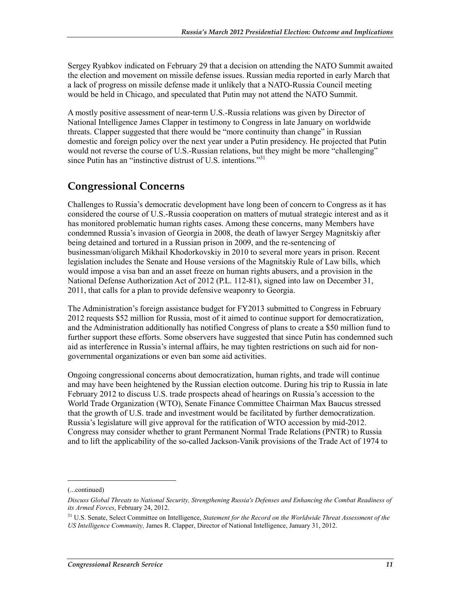Sergey Ryabkov indicated on February 29 that a decision on attending the NATO Summit awaited the election and movement on missile defense issues. Russian media reported in early March that a lack of progress on missile defense made it unlikely that a NATO-Russia Council meeting would be held in Chicago, and speculated that Putin may not attend the NATO Summit.

A mostly positive assessment of near-term U.S.-Russia relations was given by Director of National Intelligence James Clapper in testimony to Congress in late January on worldwide threats. Clapper suggested that there would be "more continuity than change" in Russian domestic and foreign policy over the next year under a Putin presidency. He projected that Putin would not reverse the course of U.S.-Russian relations, but they might be more "challenging" since Putin has an "instinctive distrust of U.S. intentions."<sup>31</sup>

### **Congressional Concerns**

Challenges to Russia's democratic development have long been of concern to Congress as it has considered the course of U.S.-Russia cooperation on matters of mutual strategic interest and as it has monitored problematic human rights cases. Among these concerns, many Members have condemned Russia's invasion of Georgia in 2008, the death of lawyer Sergey Magnitskiy after being detained and tortured in a Russian prison in 2009, and the re-sentencing of businessman/oligarch Mikhail Khodorkovskiy in 2010 to several more years in prison. Recent legislation includes the Senate and House versions of the Magnitskiy Rule of Law bills, which would impose a visa ban and an asset freeze on human rights abusers, and a provision in the National Defense Authorization Act of 2012 (P.L. 112-81), signed into law on December 31, 2011, that calls for a plan to provide defensive weaponry to Georgia.

The Administration's foreign assistance budget for FY2013 submitted to Congress in February 2012 requests \$52 million for Russia, most of it aimed to continue support for democratization, and the Administration additionally has notified Congress of plans to create a \$50 million fund to further support these efforts. Some observers have suggested that since Putin has condemned such aid as interference in Russia's internal affairs, he may tighten restrictions on such aid for nongovernmental organizations or even ban some aid activities.

Ongoing congressional concerns about democratization, human rights, and trade will continue and may have been heightened by the Russian election outcome. During his trip to Russia in late February 2012 to discuss U.S. trade prospects ahead of hearings on Russia's accession to the World Trade Organization (WTO), Senate Finance Committee Chairman Max Baucus stressed that the growth of U.S. trade and investment would be facilitated by further democratization. Russia's legislature will give approval for the ratification of WTO accession by mid-2012. Congress may consider whether to grant Permanent Normal Trade Relations (PNTR) to Russia and to lift the applicability of the so-called Jackson-Vanik provisions of the Trade Act of 1974 to

<sup>(...</sup>continued)

*Discuss Global Threats to National Security, Strengthening Russia's Defenses and Enhancing the Combat Readiness of its Armed Forces*, February 24, 2012.

<sup>31</sup> U.S. Senate, Select Committee on Intelligence, *Statement for the Record on the Worldwide Threat Assessment of the US Intelligence Community,* James R. Clapper, Director of National Intelligence, January 31, 2012.